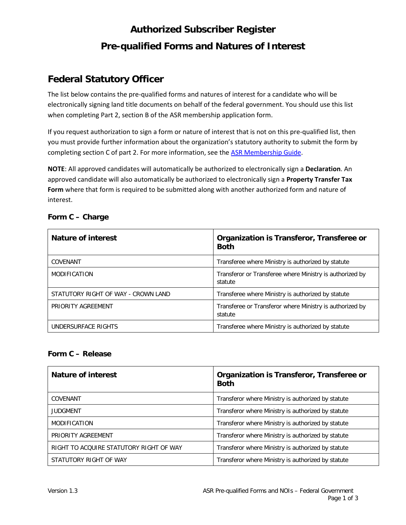# **Authorized Subscriber Register Pre-qualified Forms and Natures of Interest**

### **Federal Statutory Officer**

The list below contains the pre-qualified forms and natures of interest for a candidate who will be electronically signing land title documents on behalf of the federal government. You should use this list when completing Part 2, section B of the ASR membership application form.

If you request authorization to sign a form or nature of interest that is not on this pre-qualified list, then you must provide further information about the organization's statutory authority to submit the form by completing section C of part 2. For more information, see the [ASR Membership Guide.](http://www.ltsa.ca/docs/ASR-Membership-Guide.pdf)

**NOTE**: All approved candidates will automatically be authorized to electronically sign a **Declaration**. An approved candidate will also automatically be authorized to electronically sign a **Property Transfer Tax Form** where that form is required to be submitted along with another authorized form and nature of interest.

| <b>Nature of interest</b>           | Organization is Transferor, Transferee or<br><b>Both</b>            |
|-------------------------------------|---------------------------------------------------------------------|
| COVENANT                            | Transferee where Ministry is authorized by statute                  |
| <b>MODIFICATION</b>                 | Transferor or Transferee where Ministry is authorized by<br>statute |
| STATUTORY RIGHT OF WAY - CROWN LAND | Transferee where Ministry is authorized by statute                  |
| PRIORITY AGREEMENT                  | Transferee or Transferor where Ministry is authorized by<br>statute |
| UNDERSURFACE RIGHTS                 | Transferee where Ministry is authorized by statute                  |

#### **Form C – Charge**

#### **Form C – Release**

| Nature of interest                      | Organization is Transferor, Transferee or<br><b>Both</b> |
|-----------------------------------------|----------------------------------------------------------|
| COVENANT                                | Transferor where Ministry is authorized by statute       |
| <b>JUDGMENT</b>                         | Transferor where Ministry is authorized by statute       |
| <b>MODIFICATION</b>                     | Transferor where Ministry is authorized by statute       |
| PRIORITY AGREEMENT                      | Transferor where Ministry is authorized by statute       |
| RIGHT TO ACQUIRE STATUTORY RIGHT OF WAY | Transferor where Ministry is authorized by statute       |
| STATUTORY RIGHT OF WAY                  | Transferor where Ministry is authorized by statute       |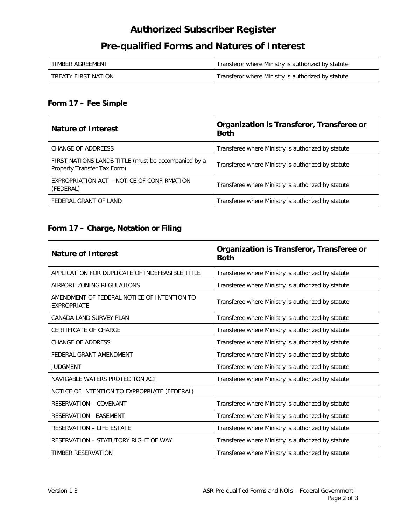### **Authorized Subscriber Register**

# **Pre-qualified Forms and Natures of Interest**

| TIMBER AGREEMENT    | Transferor where Ministry is authorized by statute |
|---------------------|----------------------------------------------------|
| TREATY FIRST NATION | Transferor where Ministry is authorized by statute |

#### **Form 17 – Fee Simple**

| <b>Nature of Interest</b>                                                          | Organization is Transferor, Transferee or<br><b>Both</b> |
|------------------------------------------------------------------------------------|----------------------------------------------------------|
| CHANGE OF ADDREESS                                                                 | Transferee where Ministry is authorized by statute       |
| FIRST NATIONS LANDS TITLE (must be accompanied by a<br>Property Transfer Tax Form) | Transferee where Ministry is authorized by statute       |
| EXPROPRIATION ACT - NOTICE OF CONFIRMATION<br>(FEDERAL)                            | Transferee where Ministry is authorized by statute       |
| FEDERAL GRANT OF LAND                                                              | Transferee where Ministry is authorized by statute       |

### **Form 17 – Charge, Notation or Filing**

| <b>Nature of Interest</b>                                         | Organization is Transferor, Transferee or<br><b>Both</b> |
|-------------------------------------------------------------------|----------------------------------------------------------|
| APPLICATION FOR DUPLICATE OF INDEFEASIBLE TITLE                   | Transferee where Ministry is authorized by statute       |
| AIRPORT ZONING REGULATIONS                                        | Transferee where Ministry is authorized by statute       |
| AMENDMENT OF FEDERAL NOTICE OF INTENTION TO<br><b>EXPROPRIATE</b> | Transferee where Ministry is authorized by statute       |
| CANADA LAND SURVEY PLAN                                           | Transferee where Ministry is authorized by statute       |
| <b>CERTIFICATE OF CHARGE</b>                                      | Transferee where Ministry is authorized by statute       |
| <b>CHANGE OF ADDRESS</b>                                          | Transferee where Ministry is authorized by statute       |
| FEDERAL GRANT AMENDMENT                                           | Transferee where Ministry is authorized by statute       |
| <b>JUDGMENT</b>                                                   | Transferee where Ministry is authorized by statute       |
| NAVIGABLE WATERS PROTECTION ACT                                   | Transferee where Ministry is authorized by statute       |
| NOTICE OF INTENTION TO EXPROPRIATE (FEDERAL)                      |                                                          |
| RESERVATION - COVENANT                                            | Transferee where Ministry is authorized by statute       |
| <b>RESERVATION - EASEMENT</b>                                     | Transferee where Ministry is authorized by statute       |
| <b>RESERVATION - LIFE ESTATE</b>                                  | Transferee where Ministry is authorized by statute       |
| RESERVATION - STATUTORY RIGHT OF WAY                              | Transferee where Ministry is authorized by statute       |
| TIMBER RESERVATION                                                | Transferee where Ministry is authorized by statute       |